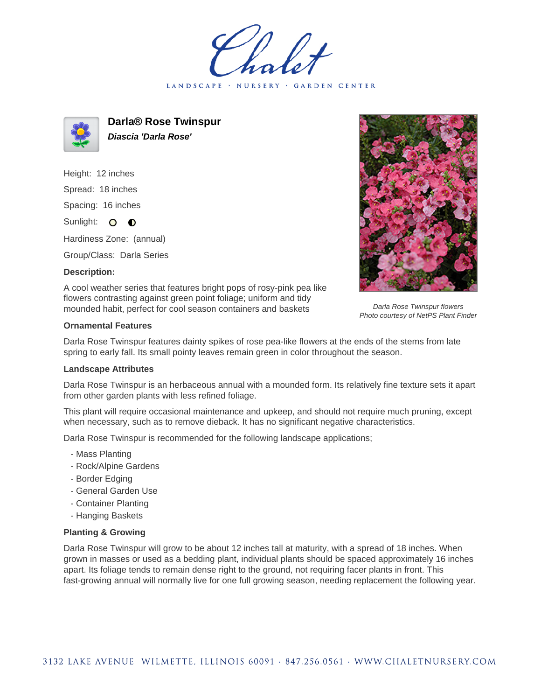LANDSCAPE · NURSERY GARDEN CENTER



**Darla® Rose Twinspur Diascia 'Darla Rose'**

Height: 12 inches Spread: 18 inches Spacing: 16 inches Sunlight: O **O** 

Hardiness Zone: (annual)

Group/Class: Darla Series

## **Description:**



Darla Rose Twinspur flowers Photo courtesy of NetPS Plant Finder

A cool weather series that features bright pops of rosy-pink pea like flowers contrasting against green point foliage; uniform and tidy mounded habit, perfect for cool season containers and baskets

## **Ornamental Features**

Darla Rose Twinspur features dainty spikes of rose pea-like flowers at the ends of the stems from late spring to early fall. Its small pointy leaves remain green in color throughout the season.

## **Landscape Attributes**

Darla Rose Twinspur is an herbaceous annual with a mounded form. Its relatively fine texture sets it apart from other garden plants with less refined foliage.

This plant will require occasional maintenance and upkeep, and should not require much pruning, except when necessary, such as to remove dieback. It has no significant negative characteristics.

Darla Rose Twinspur is recommended for the following landscape applications;

- Mass Planting
- Rock/Alpine Gardens
- Border Edging
- General Garden Use
- Container Planting
- Hanging Baskets

## **Planting & Growing**

Darla Rose Twinspur will grow to be about 12 inches tall at maturity, with a spread of 18 inches. When grown in masses or used as a bedding plant, individual plants should be spaced approximately 16 inches apart. Its foliage tends to remain dense right to the ground, not requiring facer plants in front. This fast-growing annual will normally live for one full growing season, needing replacement the following year.